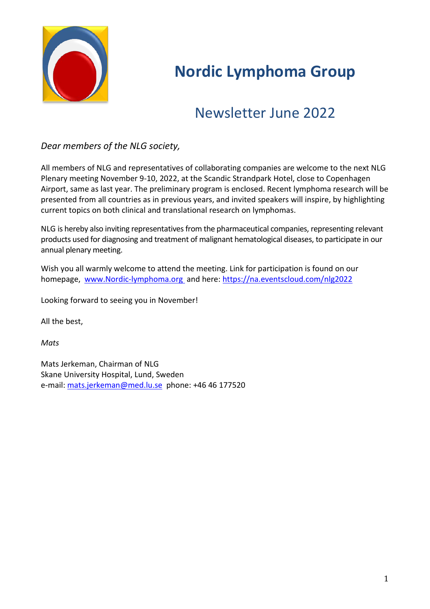

# **Nordic Lymphoma Group**

# Newsletter June 2022

# *Dear members of the NLG society,*

All members of NLG and representatives of collaborating companies are welcome to the next NLG Plenary meeting November 9-10, 2022, at the Scandic Strandpark Hotel, close to Copenhagen Airport, same as last year. The preliminary program is enclosed. Recent lymphoma research will be presented from all countries as in previous years, and invited speakers will inspire, by highlighting current topics on both clinical and translational research on lymphomas.

NLG is hereby also inviting representatives from the pharmaceutical companies, representing relevant products used for diagnosing and treatment of malignant hematological diseases, to participate in our annual plenary meeting.

Wish you all warmly welcome to attend the meeting. Link for participation is found on our homepage, [www.Nordic-lymphoma.org](http://www.nordic-lymphoma.org/) and here:<https://na.eventscloud.com/nlg2022>

Looking forward to seeing you in November!

All the best,

*Mats*

Mats Jerkeman, Chairman of NLG Skane University Hospital, Lund, Sweden e-mail: [mats.jerkeman@med.lu.se](mailto:mats.jerkeman@med.lu.se) phone: +46 46 177520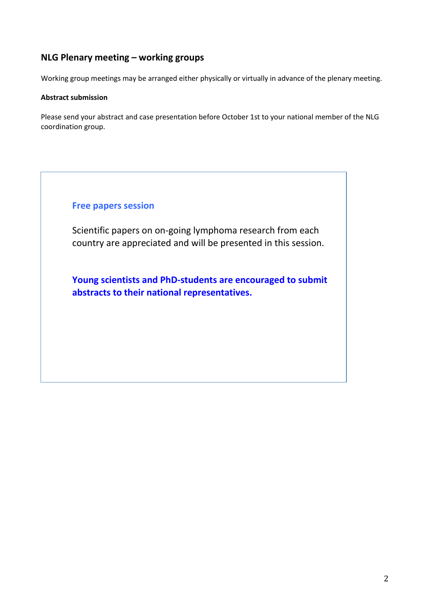# **NLG Plenary meeting – working groups**

Working group meetings may be arranged either physically or virtually in advance of the plenary meeting.

#### **Abstract submission**

Please send your abstract and case presentation before October 1st to your national member of the NLG coordination group.

## **Free papers session**

Scientific papers on on-going lymphoma research from each country are appreciated and will be presented in this session.

**Young scientists and PhD-students are encouraged to submit abstracts to their national representatives.**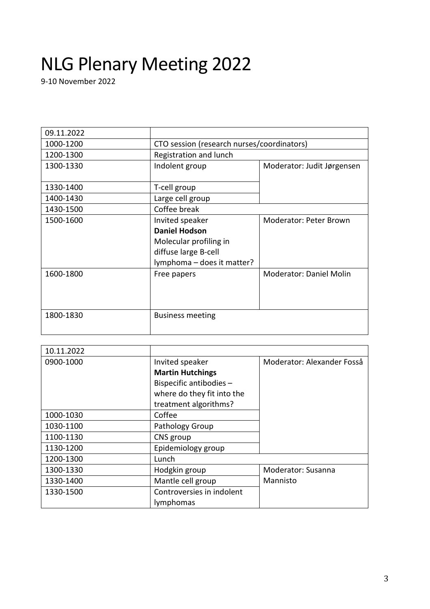# NLG Plenary Meeting 2022

9-10 November 2022

| 09.11.2022 |                                            |                            |
|------------|--------------------------------------------|----------------------------|
| 1000-1200  | CTO session (research nurses/coordinators) |                            |
| 1200-1300  | Registration and lunch                     |                            |
| 1300-1330  | Indolent group                             | Moderator: Judit Jørgensen |
|            |                                            |                            |
| 1330-1400  | T-cell group                               |                            |
| 1400-1430  | Large cell group                           |                            |
| 1430-1500  | Coffee break                               |                            |
| 1500-1600  | Invited speaker                            | Moderator: Peter Brown     |
|            | <b>Daniel Hodson</b>                       |                            |
|            | Molecular profiling in                     |                            |
|            | diffuse large B-cell                       |                            |
|            | lymphoma - does it matter?                 |                            |
| 1600-1800  | Free papers                                | Moderator: Daniel Molin    |
|            |                                            |                            |
|            |                                            |                            |
|            |                                            |                            |
| 1800-1830  | <b>Business meeting</b>                    |                            |
|            |                                            |                            |

| 10.11.2022 |                            |                            |
|------------|----------------------------|----------------------------|
| 0900-1000  | Invited speaker            | Moderator: Alexander Fosså |
|            | <b>Martin Hutchings</b>    |                            |
|            | Bispecific antibodies -    |                            |
|            | where do they fit into the |                            |
|            | treatment algorithms?      |                            |
| 1000-1030  | Coffee                     |                            |
| 1030-1100  | Pathology Group            |                            |
| 1100-1130  | CNS group                  |                            |
| 1130-1200  | Epidemiology group         |                            |
| 1200-1300  | Lunch                      |                            |
| 1300-1330  | Hodgkin group              | Moderator: Susanna         |
| 1330-1400  | Mantle cell group          | Mannisto                   |
| 1330-1500  | Controversies in indolent  |                            |
|            | lymphomas                  |                            |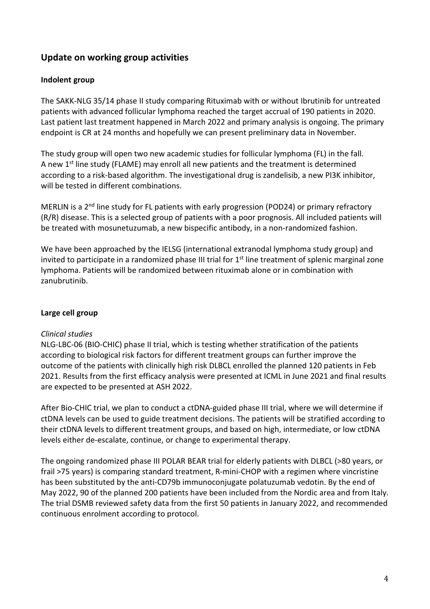# **Update on working group activities**

#### **Indolent group**

The SAKK-NLG 35/14 phase II study comparing Rituximab with or without Ibrutinib for untreated patients with advanced follicular lymphoma reached the target accrual of 190 patients in 2020. Last patient last treatment happened in March 2022 and primary analysis is ongoing. The primary endpoint is CR at 24 months and hopefully we can present preliminary data in November.

The study group will open two new academic studies for follicular lymphoma (FL) in the fall. A new 1<sup>st</sup> line study (FLAME) may enroll all new patients and the treatment is determined according to a risk-based algorithm. The investigational drug is zandelisib, a new PI3K inhibitor, will be tested in different combinations.

MERLIN is a 2<sup>nd</sup> line study for FL patients with early progression (POD24) or primary refractory (R/R) disease. This is a selected group of patients with a poor prognosis. All included patients will be treated with mosunetuzumab, a new bispecific antibody, in a non-randomized fashion.

We have been approached by the IELSG (international extranodal lymphoma study group) and invited to participate in a randomized phase III trial for  $1<sup>st</sup>$  line treatment of splenic marginal zone lymphoma. Patients will be randomized between rituximab alone or in combination with zanubrutinib.

# **Large cell group**

#### *Clinical studies*

NLG-LBC-06 (BIO-CHIC) phase II trial, which is testing whether stratification of the patients according to biological risk factors for different treatment groups can further improve the outcome of the patients with clinically high risk DLBCL enrolled the planned 120 patients in Feb 2021. Results from the first efficacy analysis were presented at ICML in June 2021 and final results are expected to be presented at ASH 2022.

After Bio-CHIC trial, we plan to conduct a ctDNA-guided phase III trial, where we will determine if ctDNA levels can be used to guide treatment decisions. The patients will be stratified according to their ctDNA levels to different treatment groups, and based on high, intermediate, or low ctDNA levels either de-escalate, continue, or change to experimental therapy.

The ongoing randomized phase III POLAR BEAR trial for elderly patients with DLBCL (>80 years, or frail >75 years) is comparing standard treatment, R-mini-CHOP with a regimen where vincristine has been substituted by the anti-CD79b immunoconjugate polatuzumab vedotin. By the end of May 2022, 90 of the planned 200 patients have been included from the Nordic area and from Italy. The trial DSMB reviewed safety data from the first 50 patients in January 2022, and recommended continuous enrolment according to protocol.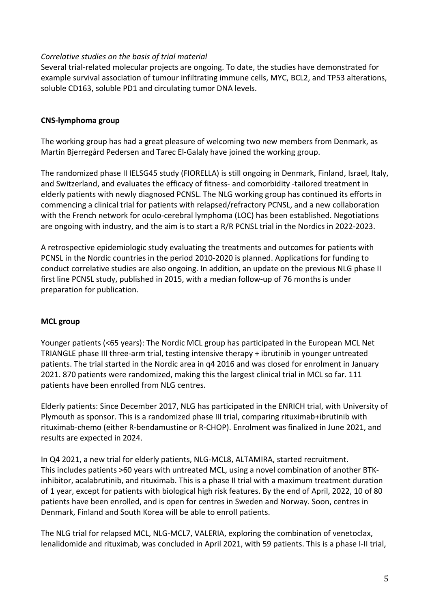#### *Correlative studies on the basis of trial material*

Several trial-related molecular projects are ongoing. To date, the studies have demonstrated for example survival association of tumour infiltrating immune cells, MYC, BCL2, and TP53 alterations, soluble CD163, soluble PD1 and circulating tumor DNA levels.

#### **CNS-lymphoma group**

The working group has had a great pleasure of welcoming two new members from Denmark, as Martin Bjerregård Pedersen and Tarec El-Galaly have joined the working group.

The randomized phase II IELSG45 study (FIORELLA) is still ongoing in Denmark, Finland, Israel, Italy, and Switzerland, and evaluates the efficacy of fitness- and comorbidity -tailored treatment in elderly patients with newly diagnosed PCNSL. The NLG working group has continued its efforts in commencing a clinical trial for patients with relapsed/refractory PCNSL, and a new collaboration with the French network for oculo-cerebral lymphoma (LOC) has been established. Negotiations are ongoing with industry, and the aim is to start a R/R PCNSL trial in the Nordics in 2022-2023.

A retrospective epidemiologic study evaluating the treatments and outcomes for patients with PCNSL in the Nordic countries in the period 2010-2020 is planned. Applications for funding to conduct correlative studies are also ongoing. In addition, an update on the previous NLG phase II first line PCNSL study, published in 2015, with a median follow-up of 76 months is under preparation for publication.

#### **MCL group**

Younger patients (<65 years): The Nordic MCL group has participated in the European MCL Net TRIANGLE phase III three-arm trial, testing intensive therapy + ibrutinib in younger untreated patients. The trial started in the Nordic area in q4 2016 and was closed for enrolment in January 2021. 870 patients were randomized, making this the largest clinical trial in MCL so far. 111 patients have been enrolled from NLG centres.

Elderly patients: Since December 2017, NLG has participated in the ENRICH trial, with University of Plymouth as sponsor. This is a randomized phase III trial, comparing rituximab+ibrutinib with rituximab-chemo (either R-bendamustine or R-CHOP). Enrolment was finalized in June 2021, and results are expected in 2024.

In Q4 2021, a new trial for elderly patients, NLG-MCL8, ALTAMIRA, started recruitment. This includes patients >60 years with untreated MCL, using a novel combination of another BTKinhibitor, acalabrutinib, and rituximab. This is a phase II trial with a maximum treatment duration of 1 year, except for patients with biological high risk features. By the end of April, 2022, 10 of 80 patients have been enrolled, and is open for centres in Sweden and Norway. Soon, centres in Denmark, Finland and South Korea will be able to enroll patients.

The NLG trial for relapsed MCL, NLG-MCL7, VALERIA, exploring the combination of venetoclax, lenalidomide and rituximab, was concluded in April 2021, with 59 patients. This is a phase I-II trial,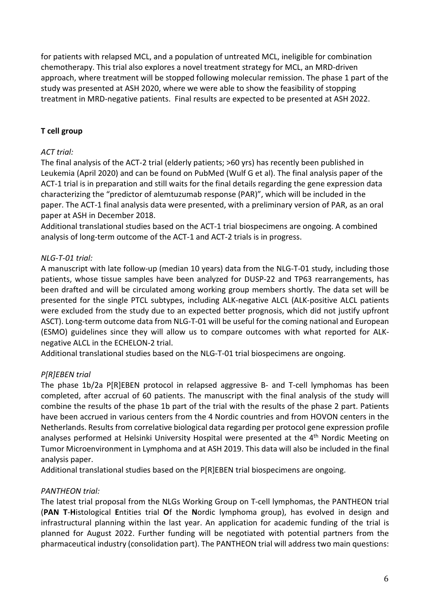for patients with relapsed MCL, and a population of untreated MCL, ineligible for combination chemotherapy. This trial also explores a novel treatment strategy for MCL, an MRD-driven approach, where treatment will be stopped following molecular remission. The phase 1 part of the study was presented at ASH 2020, where we were able to show the feasibility of stopping treatment in MRD-negative patients. Final results are expected to be presented at ASH 2022.

## **T cell group**

#### *ACT trial:*

The final analysis of the ACT-2 trial (elderly patients; >60 yrs) has recently been published in Leukemia (April 2020) and can be found on PubMed (Wulf G et al). The final analysis paper of the ACT-1 trial is in preparation and still waits for the final details regarding the gene expression data characterizing the "predictor of alemtuzumab response (PAR)", which will be included in the paper. The ACT-1 final analysis data were presented, with a preliminary version of PAR, as an oral paper at ASH in December 2018.

Additional translational studies based on the ACT-1 trial biospecimens are ongoing. A combined analysis of long-term outcome of the ACT-1 and ACT-2 trials is in progress.

## *NLG-T-01 trial:*

A manuscript with late follow-up (median 10 years) data from the NLG-T-01 study, including those patients, whose tissue samples have been analyzed for DUSP-22 and TP63 rearrangements, has been drafted and will be circulated among working group members shortly. The data set will be presented for the single PTCL subtypes, including ALK-negative ALCL (ALK-positive ALCL patients were excluded from the study due to an expected better prognosis, which did not justify upfront ASCT). Long-term outcome data from NLG-T-01 will be useful for the coming national and European (ESMO) guidelines since they will allow us to compare outcomes with what reported for ALKnegative ALCL in the ECHELON-2 trial.

Additional translational studies based on the NLG-T-01 trial biospecimens are ongoing.

# *P[R]EBEN trial*

The phase 1b/2a P[R]EBEN protocol in relapsed aggressive B- and T-cell lymphomas has been completed, after accrual of 60 patients. The manuscript with the final analysis of the study will combine the results of the phase 1b part of the trial with the results of the phase 2 part. Patients have been accrued in various centers from the 4 Nordic countries and from HOVON centers in the Netherlands. Results from correlative biological data regarding per protocol gene expression profile analyses performed at Helsinki University Hospital were presented at the 4<sup>th</sup> Nordic Meeting on Tumor Microenvironment in Lymphoma and at ASH 2019. This data will also be included in the final analysis paper.

Additional translational studies based on the P[R]EBEN trial biospecimens are ongoing.

#### *PANTHEON trial:*

The latest trial proposal from the NLGs Working Group on T-cell lymphomas, the PANTHEON trial (**PAN T**-**H**istological **E**ntities trial **O**f the **N**ordic lymphoma group), has evolved in design and infrastructural planning within the last year. An application for academic funding of the trial is planned for August 2022. Further funding will be negotiated with potential partners from the pharmaceutical industry (consolidation part). The PANTHEON trial will address two main questions: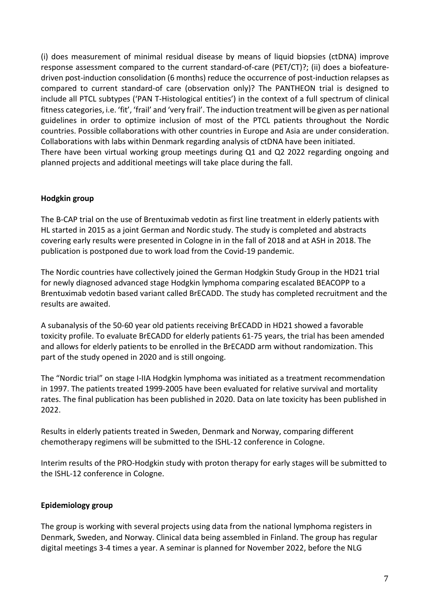(i) does measurement of minimal residual disease by means of liquid biopsies (ctDNA) improve response assessment compared to the current standard-of-care (PET/CT)?; (ii) does a biofeaturedriven post-induction consolidation (6 months) reduce the occurrence of post-induction relapses as compared to current standard-of care (observation only)? The PANTHEON trial is designed to include all PTCL subtypes ('PAN T-Histological entities') in the context of a full spectrum of clinical fitness categories, i.e. 'fit', 'frail' and 'very frail'. The induction treatment will be given as per national guidelines in order to optimize inclusion of most of the PTCL patients throughout the Nordic countries. Possible collaborations with other countries in Europe and Asia are under consideration. Collaborations with labs within Denmark regarding analysis of ctDNA have been initiated. There have been virtual working group meetings during Q1 and Q2 2022 regarding ongoing and planned projects and additional meetings will take place during the fall.

#### **Hodgkin group**

The B-CAP trial on the use of Brentuximab vedotin as first line treatment in elderly patients with HL started in 2015 as a joint German and Nordic study. The study is completed and abstracts covering early results were presented in Cologne in in the fall of 2018 and at ASH in 2018. The publication is postponed due to work load from the Covid-19 pandemic.

The Nordic countries have collectively joined the German Hodgkin Study Group in the HD21 trial for newly diagnosed advanced stage Hodgkin lymphoma comparing escalated BEACOPP to a Brentuximab vedotin based variant called BrECADD. The study has completed recruitment and the results are awaited.

A subanalysis of the 50-60 year old patients receiving BrECADD in HD21 showed a favorable toxicity profile. To evaluate BrECADD for elderly patients 61-75 years, the trial has been amended and allows for elderly patients to be enrolled in the BrECADD arm without randomization. This part of the study opened in 2020 and is still ongoing.

The "Nordic trial" on stage I-IIA Hodgkin lymphoma was initiated as a treatment recommendation in 1997. The patients treated 1999-2005 have been evaluated for relative survival and mortality rates. The final publication has been published in 2020. Data on late toxicity has been published in 2022.

Results in elderly patients treated in Sweden, Denmark and Norway, comparing different chemotherapy regimens will be submitted to the ISHL-12 conference in Cologne.

Interim results of the PRO-Hodgkin study with proton therapy for early stages will be submitted to the ISHL-12 conference in Cologne.

#### **Epidemiology group**

The group is working with several projects using data from the national lymphoma registers in Denmark, Sweden, and Norway. Clinical data being assembled in Finland. The group has regular digital meetings 3-4 times a year. A seminar is planned for November 2022, before the NLG